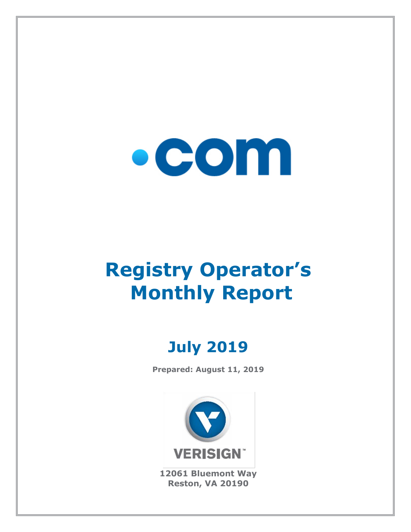

# **Registry Operator's Monthly Report**

# **July 2019**

**Prepared: August 11, 2019**



**12061 Bluemont Way Reston, VA 20190**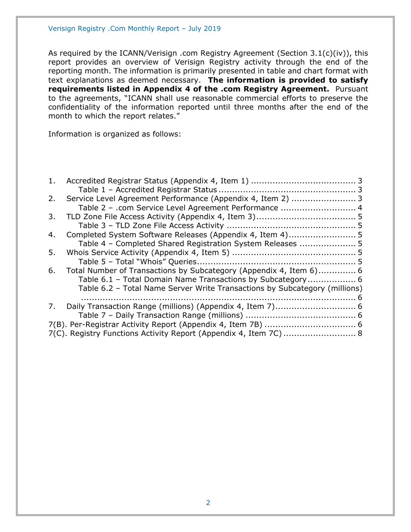As required by the ICANN/Verisign .com Registry Agreement (Section 3.1(c)(iv)), this report provides an overview of Verisign Registry activity through the end of the reporting month. The information is primarily presented in table and chart format with text explanations as deemed necessary. **The information is provided to satisfy requirements listed in Appendix 4 of the .com Registry Agreement.** Pursuant to the agreements, "ICANN shall use reasonable commercial efforts to preserve the confidentiality of the information reported until three months after the end of the month to which the report relates."

Information is organized as follows:

| 1. |                                                                            |  |
|----|----------------------------------------------------------------------------|--|
|    |                                                                            |  |
| 2. | Service Level Agreement Performance (Appendix 4, Item 2)  3                |  |
|    | Table 2 - .com Service Level Agreement Performance  4                      |  |
| 3. |                                                                            |  |
|    |                                                                            |  |
| 4. |                                                                            |  |
|    | Table 4 - Completed Shared Registration System Releases  5                 |  |
| 5. |                                                                            |  |
|    |                                                                            |  |
| 6. | Total Number of Transactions by Subcategory (Appendix 4, Item 6) 6         |  |
|    | Table 6.1 - Total Domain Name Transactions by Subcategory 6                |  |
|    | Table 6.2 - Total Name Server Write Transactions by Subcategory (millions) |  |
|    |                                                                            |  |
| 7. |                                                                            |  |
|    |                                                                            |  |
|    |                                                                            |  |
|    | 7(C). Registry Functions Activity Report (Appendix 4, Item 7C)  8          |  |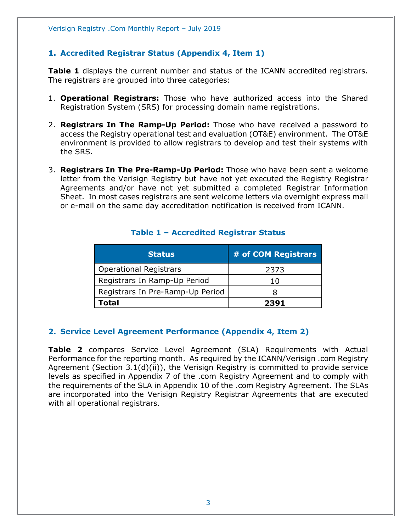# <span id="page-2-0"></span>**1. Accredited Registrar Status (Appendix 4, Item 1)**

**Table 1** displays the current number and status of the ICANN accredited registrars. The registrars are grouped into three categories:

- 1. **Operational Registrars:** Those who have authorized access into the Shared Registration System (SRS) for processing domain name registrations.
- 2. **Registrars In The Ramp-Up Period:** Those who have received a password to access the Registry operational test and evaluation (OT&E) environment. The OT&E environment is provided to allow registrars to develop and test their systems with the SRS.
- 3. **Registrars In The Pre-Ramp-Up Period:** Those who have been sent a welcome letter from the Verisign Registry but have not yet executed the Registry Registrar Agreements and/or have not yet submitted a completed Registrar Information Sheet. In most cases registrars are sent welcome letters via overnight express mail or e-mail on the same day accreditation notification is received from ICANN.

<span id="page-2-1"></span>

| <b>Status</b>                    | # of COM Registrars |
|----------------------------------|---------------------|
| <b>Operational Registrars</b>    | 2373                |
| Registrars In Ramp-Up Period     | 10                  |
| Registrars In Pre-Ramp-Up Period |                     |
| Total                            | 2391                |

#### **Table 1 – Accredited Registrar Status**

#### <span id="page-2-2"></span>**2. Service Level Agreement Performance (Appendix 4, Item 2)**

**Table 2** compares Service Level Agreement (SLA) Requirements with Actual Performance for the reporting month. As required by the ICANN/Verisign .com Registry Agreement (Section 3.1(d)(ii)), the Verisign Registry is committed to provide service levels as specified in Appendix 7 of the .com Registry Agreement and to comply with the requirements of the SLA in Appendix 10 of the .com Registry Agreement. The SLAs are incorporated into the Verisign Registry Registrar Agreements that are executed with all operational registrars.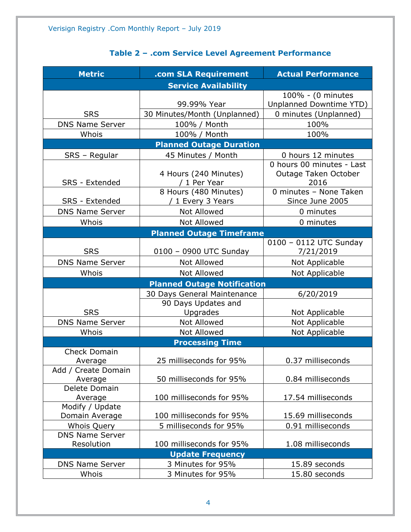# **Table 2 – .com Service Level Agreement Performance**

<span id="page-3-0"></span>

| <b>Metric</b>          | .com SLA Requirement               | <b>Actual Performance</b>      |  |
|------------------------|------------------------------------|--------------------------------|--|
|                        | <b>Service Availability</b>        |                                |  |
|                        |                                    | 100% - (0 minutes              |  |
|                        | 99.99% Year                        | <b>Unplanned Downtime YTD)</b> |  |
| <b>SRS</b>             | 30 Minutes/Month (Unplanned)       | 0 minutes (Unplanned)          |  |
| <b>DNS Name Server</b> | 100% / Month                       | 100%                           |  |
| Whois                  | 100% / Month                       | 100%                           |  |
|                        | <b>Planned Outage Duration</b>     |                                |  |
| SRS - Regular          | 45 Minutes / Month                 | 0 hours 12 minutes             |  |
|                        |                                    | 0 hours 00 minutes - Last      |  |
|                        | 4 Hours (240 Minutes)              | Outage Taken October           |  |
| SRS - Extended         | / 1 Per Year                       | 2016                           |  |
|                        | 8 Hours (480 Minutes)              | 0 minutes - None Taken         |  |
| SRS - Extended         | / 1 Every 3 Years                  | Since June 2005                |  |
| <b>DNS Name Server</b> | Not Allowed                        | 0 minutes                      |  |
| Whois                  | <b>Not Allowed</b>                 | 0 minutes                      |  |
|                        | <b>Planned Outage Timeframe</b>    |                                |  |
|                        |                                    | 0100 - 0112 UTC Sunday         |  |
| <b>SRS</b>             | 0100 - 0900 UTC Sunday             | 7/21/2019                      |  |
| <b>DNS Name Server</b> | <b>Not Allowed</b>                 | Not Applicable                 |  |
| Whois                  | <b>Not Allowed</b>                 | Not Applicable                 |  |
|                        | <b>Planned Outage Notification</b> |                                |  |
|                        | 30 Days General Maintenance        | 6/20/2019                      |  |
|                        | 90 Days Updates and                |                                |  |
| <b>SRS</b>             | Upgrades                           | Not Applicable                 |  |
| <b>DNS Name Server</b> | Not Allowed                        | Not Applicable                 |  |
| Whois                  | <b>Not Allowed</b>                 | Not Applicable                 |  |
|                        | <b>Processing Time</b>             |                                |  |
| <b>Check Domain</b>    |                                    |                                |  |
| Average                | 25 milliseconds for 95%            | 0.37 milliseconds              |  |
| Add / Create Domain    |                                    |                                |  |
| Average                | 50 milliseconds for 95%            | 0.84 milliseconds              |  |
| Delete Domain          |                                    |                                |  |
| Average                | 100 milliseconds for 95%           | 17.54 milliseconds             |  |
| Modify / Update        |                                    |                                |  |
| Domain Average         | 100 milliseconds for 95%           | 15.69 milliseconds             |  |
| Whois Query            | 5 milliseconds for 95%             | 0.91 milliseconds              |  |
| <b>DNS Name Server</b> |                                    |                                |  |
| Resolution             | 100 milliseconds for 95%           | 1.08 milliseconds              |  |
|                        | <b>Update Frequency</b>            |                                |  |
| <b>DNS Name Server</b> | 3 Minutes for 95%                  | 15.89 seconds                  |  |
| Whois                  | 3 Minutes for 95%                  | 15.80 seconds                  |  |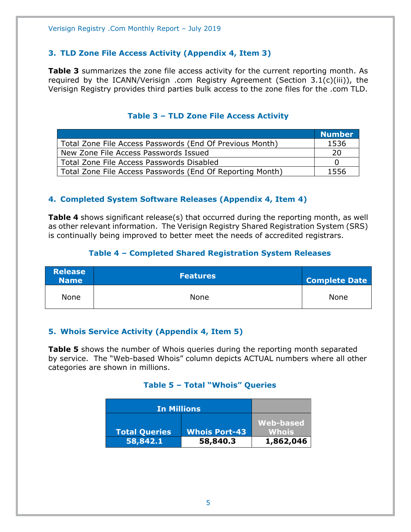# <span id="page-4-0"></span>**3. TLD Zone File Access Activity (Appendix 4, Item 3)**

**Table 3** summarizes the zone file access activity for the current reporting month. As required by the ICANN/Verisign .com Registry Agreement (Section 3.1(c)(iii)), the Verisign Registry provides third parties bulk access to the zone files for the .com TLD.

<span id="page-4-1"></span>

|                                                           | <b>Number</b> |
|-----------------------------------------------------------|---------------|
| Total Zone File Access Passwords (End Of Previous Month)  | 1536          |
| New Zone File Access Passwords Issued                     | 20            |
| Total Zone File Access Passwords Disabled                 |               |
| Total Zone File Access Passwords (End Of Reporting Month) | 1556          |

# **Table 3 – TLD Zone File Access Activity**

# <span id="page-4-2"></span>**4. Completed System Software Releases (Appendix 4, Item 4)**

**Table 4** shows significant release(s) that occurred during the reporting month, as well as other relevant information. The Verisign Registry Shared Registration System (SRS) is continually being improved to better meet the needs of accredited registrars.

#### **Table 4 – Completed Shared Registration System Releases**

<span id="page-4-3"></span>

| <b>Release</b><br><b>Name</b> | <b>Features</b> | <b>Complete Date</b> |
|-------------------------------|-----------------|----------------------|
| None                          | None            | <b>None</b>          |

#### <span id="page-4-4"></span>**5. Whois Service Activity (Appendix 4, Item 5)**

<span id="page-4-5"></span>**Table 5** shows the number of Whois queries during the reporting month separated by service. The "Web-based Whois" column depicts ACTUAL numbers where all other categories are shown in millions.

#### **Table 5 – Total "Whois" Queries**

| <b>In Millions</b>   |                      |                    |
|----------------------|----------------------|--------------------|
| <b>Total Queries</b> | <b>Whois Port-43</b> | Web-based<br>Whois |
| 58,842.1             | 58,840.3             | 1,862,046          |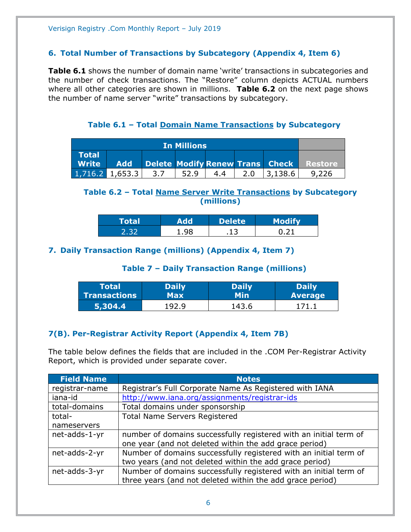#### <span id="page-5-0"></span>**6. Total Number of Transactions by Subcategory (Appendix 4, Item 6)**

**Table 6.1** shows the number of domain name 'write' transactions in subcategories and the number of check transactions. The "Restore" column depicts ACTUAL numbers where all other categories are shown in millions. **Table 6.2** on the next page shows the number of name server "write" transactions by subcategory.

**Table 6.1 – Total Domain Name Transactions by Subcategory**

<span id="page-5-1"></span>

| <b>In Millions</b>           |            |     |  |     |  |                                 |         |
|------------------------------|------------|-----|--|-----|--|---------------------------------|---------|
| <b>Total</b><br><b>Write</b> | <b>Add</b> |     |  |     |  | Delete Modify Renew Trans Check | Restore |
| $1,716.2$ 1,653.3            |            | 3.7 |  | 4.4 |  | 3.138.6                         |         |

# <span id="page-5-2"></span>**Table 6.2 – Total Name Server Write Transactions by Subcategory (millions)**

| Total |    | <b>Delete</b> | $M \sim A H$ |
|-------|----|---------------|--------------|
|       | ۵g | - 1           |              |

# <span id="page-5-4"></span><span id="page-5-3"></span>**7. Daily Transaction Range (millions) (Appendix 4, Item 7)**

# **Table 7 – Daily Transaction Range (millions)**

| Totall              | <b>Daily</b> | <b>Daily</b> | Daily          |
|---------------------|--------------|--------------|----------------|
| <b>Transactions</b> | Max          | Min          | <b>Average</b> |
| 5,304.4             | 192.9        | 143.6        |                |

# <span id="page-5-5"></span>**7(B). Per-Registrar Activity Report (Appendix 4, Item 7B)**

The table below defines the fields that are included in the .COM Per-Registrar Activity Report, which is provided under separate cover.

| <b>Field Name</b> | <b>Notes</b>                                                      |
|-------------------|-------------------------------------------------------------------|
| registrar-name    | Registrar's Full Corporate Name As Registered with IANA           |
| iana-id           | http://www.iana.org/assignments/registrar-ids                     |
| total-domains     | Total domains under sponsorship                                   |
| total-            | <b>Total Name Servers Registered</b>                              |
| nameservers       |                                                                   |
| net-adds-1-yr     | number of domains successfully registered with an initial term of |
|                   | one year (and not deleted within the add grace period)            |
| net-adds-2-yr     | Number of domains successfully registered with an initial term of |
|                   | two years (and not deleted within the add grace period)           |
| net-adds-3-yr     | Number of domains successfully registered with an initial term of |
|                   | three years (and not deleted within the add grace period)         |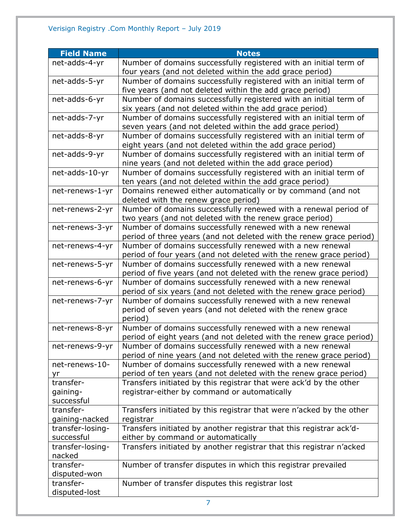| <b>Field Name</b> | <b>Notes</b>                                                                                                                    |
|-------------------|---------------------------------------------------------------------------------------------------------------------------------|
| net-adds-4-yr     | Number of domains successfully registered with an initial term of                                                               |
|                   | four years (and not deleted within the add grace period)                                                                        |
| net-adds-5-yr     | Number of domains successfully registered with an initial term of                                                               |
|                   | five years (and not deleted within the add grace period)                                                                        |
| net-adds-6-yr     | Number of domains successfully registered with an initial term of                                                               |
|                   | six years (and not deleted within the add grace period)                                                                         |
| net-adds-7-yr     | Number of domains successfully registered with an initial term of                                                               |
|                   | seven years (and not deleted within the add grace period)                                                                       |
| net-adds-8-yr     | Number of domains successfully registered with an initial term of                                                               |
|                   | eight years (and not deleted within the add grace period)                                                                       |
| net-adds-9-yr     | Number of domains successfully registered with an initial term of                                                               |
|                   | nine years (and not deleted within the add grace period)                                                                        |
| net-adds-10-yr    | Number of domains successfully registered with an initial term of<br>ten years (and not deleted within the add grace period)    |
| net-renews-1-yr   | Domains renewed either automatically or by command (and not                                                                     |
|                   | deleted with the renew grace period)                                                                                            |
| net-renews-2-yr   | Number of domains successfully renewed with a renewal period of                                                                 |
|                   | two years (and not deleted with the renew grace period)                                                                         |
| net-renews-3-yr   | Number of domains successfully renewed with a new renewal                                                                       |
|                   | period of three years (and not deleted with the renew grace period)                                                             |
| net-renews-4-yr   | Number of domains successfully renewed with a new renewal                                                                       |
|                   | period of four years (and not deleted with the renew grace period)                                                              |
| net-renews-5-yr   | Number of domains successfully renewed with a new renewal                                                                       |
|                   | period of five years (and not deleted with the renew grace period)                                                              |
| net-renews-6-yr   | Number of domains successfully renewed with a new renewal                                                                       |
|                   | period of six years (and not deleted with the renew grace period)                                                               |
| net-renews-7-yr   | Number of domains successfully renewed with a new renewal                                                                       |
|                   | period of seven years (and not deleted with the renew grace                                                                     |
|                   | period)                                                                                                                         |
| net-renews-8-yr   | Number of domains successfully renewed with a new renewal                                                                       |
|                   | period of eight years (and not deleted with the renew grace period)                                                             |
| net-renews-9-yr   | Number of domains successfully renewed with a new renewal                                                                       |
| net-renews-10-    | period of nine years (and not deleted with the renew grace period)<br>Number of domains successfully renewed with a new renewal |
| yr                | period of ten years (and not deleted with the renew grace period)                                                               |
| transfer-         | Transfers initiated by this registrar that were ack'd by the other                                                              |
| gaining-          | registrar-either by command or automatically                                                                                    |
| successful        |                                                                                                                                 |
| transfer-         | Transfers initiated by this registrar that were n'acked by the other                                                            |
| gaining-nacked    | registrar                                                                                                                       |
| transfer-losing-  | Transfers initiated by another registrar that this registrar ack'd-                                                             |
| successful        | either by command or automatically                                                                                              |
| transfer-losing-  | Transfers initiated by another registrar that this registrar n'acked                                                            |
| nacked            |                                                                                                                                 |
| transfer-         | Number of transfer disputes in which this registrar prevailed                                                                   |
| disputed-won      |                                                                                                                                 |
| transfer-         | Number of transfer disputes this registrar lost                                                                                 |
| disputed-lost     |                                                                                                                                 |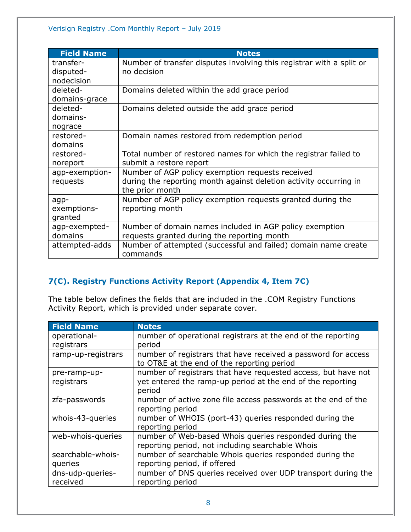| <b>Field Name</b> | <b>Notes</b>                                                         |
|-------------------|----------------------------------------------------------------------|
| transfer-         | Number of transfer disputes involving this registrar with a split or |
| disputed-         | no decision                                                          |
| nodecision        |                                                                      |
| deleted-          | Domains deleted within the add grace period                          |
| domains-grace     |                                                                      |
| deleted-          | Domains deleted outside the add grace period                         |
| domains-          |                                                                      |
| nograce           |                                                                      |
| restored-         | Domain names restored from redemption period                         |
| domains           |                                                                      |
| restored-         | Total number of restored names for which the registrar failed to     |
| noreport          | submit a restore report                                              |
| agp-exemption-    | Number of AGP policy exemption requests received                     |
| requests          | during the reporting month against deletion activity occurring in    |
|                   | the prior month                                                      |
| agp-              | Number of AGP policy exemption requests granted during the           |
| exemptions-       | reporting month                                                      |
| granted           |                                                                      |
| agp-exempted-     | Number of domain names included in AGP policy exemption              |
| domains           | requests granted during the reporting month                          |
| attempted-adds    | Number of attempted (successful and failed) domain name create       |
|                   | commands                                                             |

# <span id="page-7-0"></span>**7(C). Registry Functions Activity Report (Appendix 4, Item 7C)**

The table below defines the fields that are included in the .COM Registry Functions Activity Report, which is provided under separate cover.

| <b>Field Name</b>  | <b>Notes</b>                                                                                                |
|--------------------|-------------------------------------------------------------------------------------------------------------|
| operational-       | number of operational registrars at the end of the reporting                                                |
| registrars         | period                                                                                                      |
| ramp-up-registrars | number of registrars that have received a password for access<br>to OT&E at the end of the reporting period |
| pre-ramp-up-       | number of registrars that have requested access, but have not                                               |
| registrars         | yet entered the ramp-up period at the end of the reporting<br>period                                        |
| zfa-passwords      | number of active zone file access passwords at the end of the                                               |
|                    | reporting period                                                                                            |
| whois-43-queries   | number of WHOIS (port-43) queries responded during the                                                      |
|                    | reporting period                                                                                            |
| web-whois-queries  | number of Web-based Whois queries responded during the                                                      |
|                    | reporting period, not including searchable Whois                                                            |
| searchable-whois-  | number of searchable Whois queries responded during the                                                     |
| queries            | reporting period, if offered                                                                                |
| dns-udp-queries-   | number of DNS queries received over UDP transport during the                                                |
| received           | reporting period                                                                                            |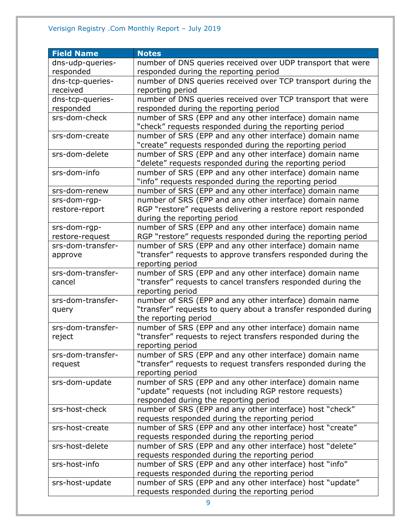| <b>Field Name</b> | <b>Notes</b>                                                   |
|-------------------|----------------------------------------------------------------|
| dns-udp-queries-  | number of DNS queries received over UDP transport that were    |
| responded         | responded during the reporting period                          |
| dns-tcp-queries-  | number of DNS queries received over TCP transport during the   |
| received          | reporting period                                               |
| dns-tcp-queries-  | number of DNS queries received over TCP transport that were    |
| responded         | responded during the reporting period                          |
| srs-dom-check     | number of SRS (EPP and any other interface) domain name        |
|                   | "check" requests responded during the reporting period         |
| srs-dom-create    | number of SRS (EPP and any other interface) domain name        |
|                   | "create" requests responded during the reporting period        |
| srs-dom-delete    | number of SRS (EPP and any other interface) domain name        |
|                   | "delete" requests responded during the reporting period        |
| srs-dom-info      | number of SRS (EPP and any other interface) domain name        |
|                   | "info" requests responded during the reporting period          |
| srs-dom-renew     | number of SRS (EPP and any other interface) domain name        |
| srs-dom-rgp-      | number of SRS (EPP and any other interface) domain name        |
| restore-report    | RGP "restore" requests delivering a restore report responded   |
|                   | during the reporting period                                    |
| srs-dom-rgp-      | number of SRS (EPP and any other interface) domain name        |
| restore-request   | RGP "restore" requests responded during the reporting period   |
| srs-dom-transfer- | number of SRS (EPP and any other interface) domain name        |
| approve           | "transfer" requests to approve transfers responded during the  |
|                   | reporting period                                               |
| srs-dom-transfer- | number of SRS (EPP and any other interface) domain name        |
| cancel            | "transfer" requests to cancel transfers responded during the   |
|                   | reporting period                                               |
| srs-dom-transfer- | number of SRS (EPP and any other interface) domain name        |
| query             | "transfer" requests to query about a transfer responded during |
|                   | the reporting period                                           |
| srs-dom-transfer- | number of SRS (EPP and any other interface) domain name        |
| reject            | "transfer" requests to reject transfers responded during the   |
|                   | reporting period                                               |
| srs-dom-transfer- | number of SRS (EPP and any other interface) domain name        |
| request           | "transfer" requests to request transfers responded during the  |
|                   | reporting period                                               |
| srs-dom-update    | number of SRS (EPP and any other interface) domain name        |
|                   | "update" requests (not including RGP restore requests)         |
|                   | responded during the reporting period                          |
| srs-host-check    | number of SRS (EPP and any other interface) host "check"       |
|                   | requests responded during the reporting period                 |
| srs-host-create   | number of SRS (EPP and any other interface) host "create"      |
|                   | requests responded during the reporting period                 |
| srs-host-delete   | number of SRS (EPP and any other interface) host "delete"      |
|                   | requests responded during the reporting period                 |
| srs-host-info     | number of SRS (EPP and any other interface) host "info"        |
|                   | requests responded during the reporting period                 |
| srs-host-update   | number of SRS (EPP and any other interface) host "update"      |
|                   | requests responded during the reporting period                 |